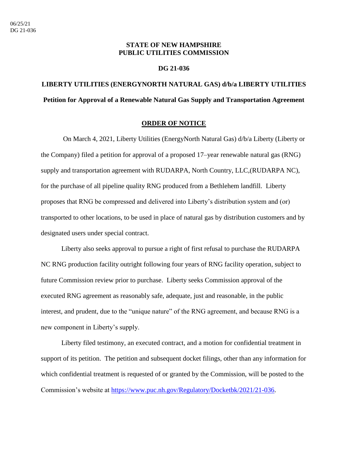## **STATE OF NEW HAMPSHIRE PUBLIC UTILITIES COMMISSION**

#### **DG 21-036**

# **LIBERTY UTILITIES (ENERGYNORTH NATURAL GAS) d/b/a LIBERTY UTILITIES Petition for Approval of a Renewable Natural Gas Supply and Transportation Agreement**

### **ORDER OF NOTICE**

On March 4, 2021, Liberty Utilities (EnergyNorth Natural Gas) d/b/a Liberty (Liberty or the Company) filed a petition for approval of a proposed 17–year renewable natural gas (RNG) supply and transportation agreement with RUDARPA, North Country, LLC,(RUDARPA NC), for the purchase of all pipeline quality RNG produced from a Bethlehem landfill. Liberty proposes that RNG be compressed and delivered into Liberty's distribution system and (or) transported to other locations, to be used in place of natural gas by distribution customers and by designated users under special contract.

Liberty also seeks approval to pursue a right of first refusal to purchase the RUDARPA NC RNG production facility outright following four years of RNG facility operation, subject to future Commission review prior to purchase. Liberty seeks Commission approval of the executed RNG agreement as reasonably safe, adequate, just and reasonable, in the public interest, and prudent, due to the "unique nature" of the RNG agreement, and because RNG is a new component in Liberty's supply.

Liberty filed testimony, an executed contract, and a motion for confidential treatment in support of its petition. The petition and subsequent docket filings, other than any information for which confidential treatment is requested of or granted by the Commission, will be posted to the Commission's website at [https://www.puc.nh.gov/Regulatory/Docketbk/2021/21-036.](https://www.puc.nh.gov/Regulatory/Docketbk/2021/21-036)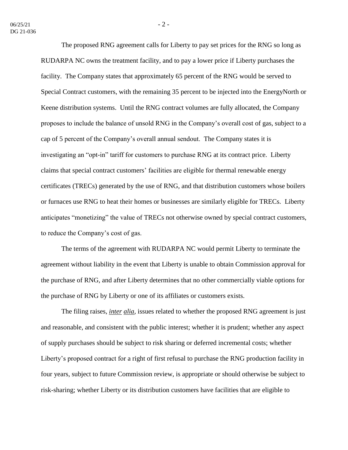The proposed RNG agreement calls for Liberty to pay set prices for the RNG so long as RUDARPA NC owns the treatment facility, and to pay a lower price if Liberty purchases the facility. The Company states that approximately 65 percent of the RNG would be served to Special Contract customers, with the remaining 35 percent to be injected into the EnergyNorth or Keene distribution systems. Until the RNG contract volumes are fully allocated, the Company proposes to include the balance of unsold RNG in the Company's overall cost of gas, subject to a cap of 5 percent of the Company's overall annual sendout. The Company states it is investigating an "opt-in" tariff for customers to purchase RNG at its contract price. Liberty claims that special contract customers' facilities are eligible for thermal renewable energy certificates (TRECs) generated by the use of RNG, and that distribution customers whose boilers or furnaces use RNG to heat their homes or businesses are similarly eligible for TRECs. Liberty anticipates "monetizing" the value of TRECs not otherwise owned by special contract customers, to reduce the Company's cost of gas.

The terms of the agreement with RUDARPA NC would permit Liberty to terminate the agreement without liability in the event that Liberty is unable to obtain Commission approval for the purchase of RNG, and after Liberty determines that no other commercially viable options for the purchase of RNG by Liberty or one of its affiliates or customers exists.

The filing raises, *inter alia*, issues related to whether the proposed RNG agreement is just and reasonable, and consistent with the public interest; whether it is prudent; whether any aspect of supply purchases should be subject to risk sharing or deferred incremental costs; whether Liberty's proposed contract for a right of first refusal to purchase the RNG production facility in four years, subject to future Commission review, is appropriate or should otherwise be subject to risk-sharing; whether Liberty or its distribution customers have facilities that are eligible to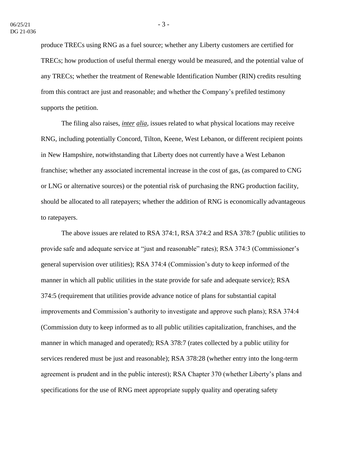produce TRECs using RNG as a fuel source; whether any Liberty customers are certified for TRECs; how production of useful thermal energy would be measured, and the potential value of any TRECs; whether the treatment of Renewable Identification Number (RIN) credits resulting from this contract are just and reasonable; and whether the Company's prefiled testimony supports the petition.

The filing also raises, *inter alia*, issues related to what physical locations may receive RNG, including potentially Concord, Tilton, Keene, West Lebanon, or different recipient points in New Hampshire, notwithstanding that Liberty does not currently have a West Lebanon franchise; whether any associated incremental increase in the cost of gas, (as compared to CNG or LNG or alternative sources) or the potential risk of purchasing the RNG production facility, should be allocated to all ratepayers; whether the addition of RNG is economically advantageous to ratepayers.

The above issues are related to RSA 374:1, RSA 374:2 and RSA 378:7 (public utilities to provide safe and adequate service at "just and reasonable" rates); RSA 374:3 (Commissioner's general supervision over utilities); RSA 374:4 (Commission's duty to keep informed of the manner in which all public utilities in the state provide for safe and adequate service); RSA 374:5 (requirement that utilities provide advance notice of plans for substantial capital improvements and Commission's authority to investigate and approve such plans); RSA 374:4 (Commission duty to keep informed as to all public utilities capitalization, franchises, and the manner in which managed and operated); RSA 378:7 (rates collected by a public utility for services rendered must be just and reasonable); RSA 378:28 (whether entry into the long-term agreement is prudent and in the public interest); RSA Chapter 370 (whether Liberty's plans and specifications for the use of RNG meet appropriate supply quality and operating safety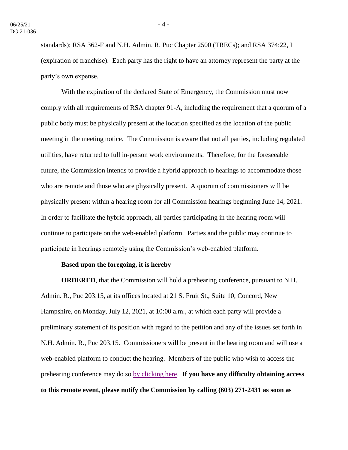standards); RSA 362-F and N.H. Admin. R. Puc Chapter 2500 (TRECs); and RSA 374:22, I (expiration of franchise). Each party has the right to have an attorney represent the party at the party's own expense.

With the expiration of the declared State of Emergency, the Commission must now comply with all requirements of RSA chapter 91-A, including the requirement that a quorum of a public body must be physically present at the location specified as the location of the public meeting in the meeting notice. The Commission is aware that not all parties, including regulated utilities, have returned to full in-person work environments. Therefore, for the foreseeable future, the Commission intends to provide a hybrid approach to hearings to accommodate those who are remote and those who are physically present. A quorum of commissioners will be physically present within a hearing room for all Commission hearings beginning June 14, 2021. In order to facilitate the hybrid approach, all parties participating in the hearing room will continue to participate on the web-enabled platform. Parties and the public may continue to participate in hearings remotely using the Commission's web-enabled platform.

#### **Based upon the foregoing, it is hereby**

**ORDERED**, that the Commission will hold a prehearing conference, pursuant to N.H. Admin. R., Puc 203.15, at its offices located at 21 S. Fruit St., Suite 10, Concord, New Hampshire, on Monday, July 12, 2021, at 10:00 a.m., at which each party will provide a preliminary statement of its position with regard to the petition and any of the issues set forth in N.H. Admin. R., Puc 203.15. Commissioners will be present in the hearing room and will use a web-enabled platform to conduct the hearing. Members of the public who wish to access the prehearing conference may do so [by clicking here.](https://www.puc.nh.gov/Regulatory/Calendar-Remote.html) **If you have any difficulty obtaining access to this remote event, please notify the Commission by calling (603) 271-2431 as soon as**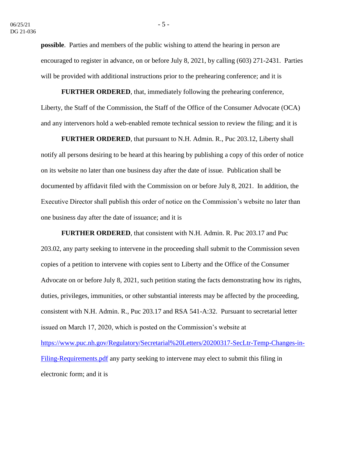**possible**. Parties and members of the public wishing to attend the hearing in person are encouraged to register in advance, on or before July 8, 2021, by calling (603) 271-2431. Parties will be provided with additional instructions prior to the prehearing conference; and it is

**FURTHER ORDERED**, that, immediately following the prehearing conference, Liberty, the Staff of the Commission, the Staff of the Office of the Consumer Advocate (OCA) and any intervenors hold a web-enabled remote technical session to review the filing; and it is

**FURTHER ORDERED**, that pursuant to N.H. Admin. R., Puc 203.12, Liberty shall notify all persons desiring to be heard at this hearing by publishing a copy of this order of notice on its website no later than one business day after the date of issue. Publication shall be documented by affidavit filed with the Commission on or before July 8, 2021. In addition, the Executive Director shall publish this order of notice on the Commission's website no later than one business day after the date of issuance; and it is

**FURTHER ORDERED**, that consistent with N.H. Admin. R. Puc 203.17 and Puc 203.02, any party seeking to intervene in the proceeding shall submit to the Commission seven copies of a petition to intervene with copies sent to Liberty and the Office of the Consumer Advocate on or before July 8, 2021, such petition stating the facts demonstrating how its rights, duties, privileges, immunities, or other substantial interests may be affected by the proceeding, consistent with N.H. Admin. R., Puc 203.17 and RSA 541-A:32. Pursuant to secretarial letter issued on March 17, 2020, which is posted on the Commission's website at [https://www.puc.nh.gov/Regulatory/Secretarial%20Letters/20200317-SecLtr-Temp-Changes-in-](https://www.puc.nh.gov/Regulatory/Secretarial%20Letters/20200317-SecLtr-Temp-Changes-in-Filing-Requirements.pdf)[Filing-Requirements.pdf](https://www.puc.nh.gov/Regulatory/Secretarial%20Letters/20200317-SecLtr-Temp-Changes-in-Filing-Requirements.pdf) any party seeking to intervene may elect to submit this filing in electronic form; and it is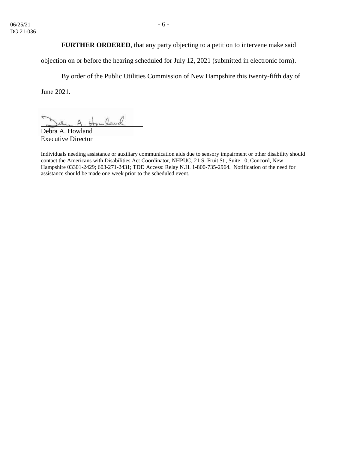objection on or before the hearing scheduled for July 12, 2021 (submitted in electronic form).

By order of the Public Utilities Commission of New Hampshire this twenty-fifth day of June 2021.

uland

Debra A. Howland Executive Director

Individuals needing assistance or auxiliary communication aids due to sensory impairment or other disability should contact the Americans with Disabilities Act Coordinator, NHPUC, 21 S. Fruit St., Suite 10, Concord, New Hampshire 03301-2429; 603-271-2431; TDD Access: Relay N.H. 1-800-735-2964. Notification of the need for assistance should be made one week prior to the scheduled event.